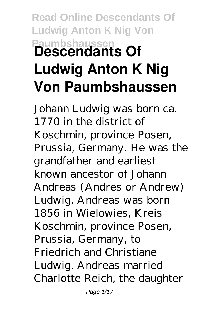## **Read Online Descendants Of Ludwig Anton K Nig Von Paumbshaussen Descendants Of Ludwig Anton K Nig Von Paumbshaussen**

Johann Ludwig was born ca. 1770 in the district of Koschmin, province Posen, Prussia, Germany. He was the grandfather and earliest known ancestor of Johann Andreas (Andres or Andrew) Ludwig. Andreas was born 1856 in Wielowies, Kreis Koschmin, province Posen, Prussia, Germany, to Friedrich and Christiane Ludwig. Andreas married Charlotte Reich, the daughter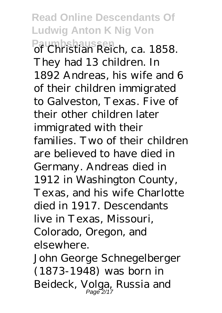**Read Online Descendants Of Ludwig Anton K Nig Von Paumbshaussen** of Christian Reich, ca. 1858. They had 13 children. In 1892 Andreas, his wife and 6 of their children immigrated to Galveston, Texas. Five of their other children later immigrated with their families. Two of their children are believed to have died in Germany. Andreas died in 1912 in Washington County, Texas, and his wife Charlotte died in 1917. Descendants live in Texas, Missouri, Colorado, Oregon, and elsewhere.

John George Schnegelberger (1873-1948) was born in Beideck, Volga, Russia and Page 2/17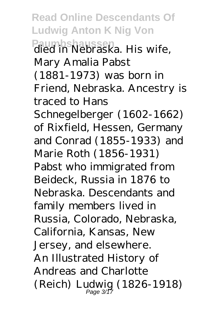**Read Online Descendants Of Ludwig Anton K Nig Von Paumbshaussen** died in Nebraska. His wife, Mary Amalia Pabst (1881-1973) was born in Friend, Nebraska. Ancestry is traced to Hans Schnegelberger (1602-1662) of Rixfield, Hessen, Germany and Conrad (1855-1933) and Marie Roth (1856-1931) Pabst who immigrated from Beideck, Russia in 1876 to Nebraska. Descendants and family members lived in Russia, Colorado, Nebraska, California, Kansas, New Jersey, and elsewhere. An Illustrated History of Andreas and Charlotte (Reich) Ludwig (1826-1918) Page 3/17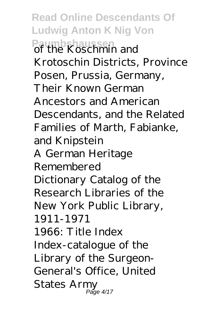**Read Online Descendants Of Ludwig Anton K Nig Von Paumbshaussen**<br>of the Koschmin and Krotoschin Districts, Province Posen, Prussia, Germany, Their Known German Ancestors and American Descendants, and the Related Families of Marth, Fabianke, and Knipstein A German Heritage Remembered Dictionary Catalog of the Research Libraries of the New York Public Library, 1911-1971 1966: Title Index Index-catalogue of the Library of the Surgeon-General's Office, United States Army Page 4/17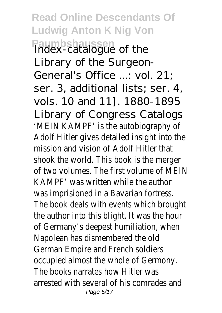**Read Online Descendants Of Ludwig Anton K Nig Von Paumbshaussen** Index-catalogue of the Library of the Surgeon-General's Office ...: vol. 21; ser. 3, additional lists; ser. 4, vols. 10 and 11]. 1880-1895 Library of Congress Catalogs 'MEIN KAMPF' is the autobiography of Adolf Hitler gives detailed insight into the mission and vision of Adolf Hitler that shook the world. This book is the merger of two volumes. The first volume of MEIN KAMPF' was written while the author was imprisioned in a Bavarian fortress. The book deals with events which brought the author into this blight. It was the hour of Germany's deepest humiliation, when Napolean has dismembered the old German Empire and French soldiers occupied almost the whole of Germony. The books narrates how Hitler was arrested with several of his comrades and Page 5/17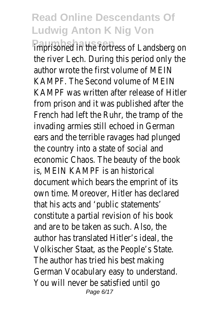## **Read Online Descendants Of Ludwig Anton K Nig Von**

imprisoned in the fortress of Landsberg on the river Lech. During this period only the author wrote the first volume of MEIN KAMPF. The Second volume of MEIN KAMPF was written after release of Hitler from prison and it was published after the French had left the Ruhr, the tramp of the invading armies still echoed in German ears and the terrible ravages had plunged the country into a state of social and economic Chaos. The beauty of the book is, MEIN KAMPF is an historical document which bears the emprint of its own time. Moreover, Hitler has declared that his acts and 'public statements' constitute a partial revision of his book and are to be taken as such. Also, the author has translated Hitler's ideal, the Volkischer Staat, as the People's State. The author has tried his best making German Vocabulary easy to understand. You will never be satisfied until go Page 6/17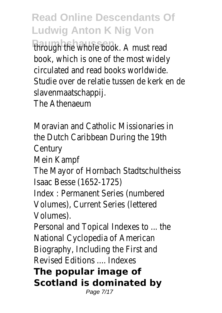**Read Online Descendants Of Ludwig Anton K Nig Von**

through the whole book. A must read book, which is one of the most widely circulated and read books worldwide. Studie over de relatie tussen de kerk en de slavenmaatschappij.

The Athenaeum

Moravian and Catholic Missionaries in the Dutch Caribbean During the 19th Century

Mein Kampf

The Mayor of Hornbach Stadtschultheiss Isaac Besse (1652-1725)

Index : Permanent Series (numbered Volumes), Current Series (lettered Volumes).

Personal and Topical Indexes to ... the National Cyclopedia of American Biography, Including the First and Revised Editions .... Indexes

**The popular image of Scotland is dominated by**

Page 7/17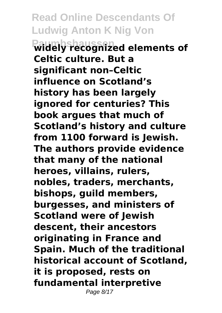**Read Online Descendants Of Ludwig Anton K Nig Von Paumbshaussen widely recognized elements of Celtic culture. But a significant non–Celtic influence on Scotland's history has been largely ignored for centuries? This book argues that much of Scotland's history and culture from 1100 forward is Jewish. The authors provide evidence that many of the national heroes, villains, rulers, nobles, traders, merchants, bishops, guild members, burgesses, and ministers of Scotland were of Jewish descent, their ancestors originating in France and Spain. Much of the traditional historical account of Scotland, it is proposed, rests on fundamental interpretive** Page 8/17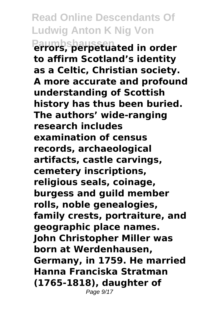**Read Online Descendants Of Ludwig Anton K Nig Von Paumbshaussen errors, perpetuated in order to affirm Scotland's identity as a Celtic, Christian society. A more accurate and profound understanding of Scottish history has thus been buried. The authors' wide-ranging research includes examination of census records, archaeological artifacts, castle carvings, cemetery inscriptions, religious seals, coinage, burgess and guild member rolls, noble genealogies, family crests, portraiture, and geographic place names. John Christopher Miller was born at Werdenhausen, Germany, in 1759. He married Hanna Franciska Stratman (1765-1818), daughter of** Page  $9/17$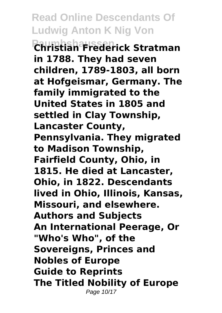**Read Online Descendants Of Ludwig Anton K Nig Von Paumbshaussen Christian Frederick Stratman in 1788. They had seven children, 1789-1803, all born at Hofgeismar, Germany. The family immigrated to the United States in 1805 and settled in Clay Township, Lancaster County, Pennsylvania. They migrated to Madison Township, Fairfield County, Ohio, in 1815. He died at Lancaster, Ohio, in 1822. Descendants lived in Ohio, Illinois, Kansas, Missouri, and elsewhere. Authors and Subjects An International Peerage, Or "Who's Who", of the Sovereigns, Princes and Nobles of Europe Guide to Reprints The Titled Nobility of Europe** Page 10/17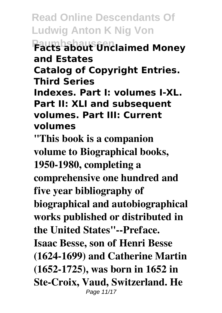**Read Online Descendants Of Ludwig Anton K Nig Von Paumbshaussen Facts about Unclaimed Money and Estates Catalog of Copyright Entries. Third Series Indexes. Part I: volumes I-XL. Part II: XLI and subsequent volumes. Part III: Current volumes**

**"This book is a companion volume to Biographical books, 1950-1980, completing a comprehensive one hundred and five year bibliography of biographical and autobiographical works published or distributed in the United States"--Preface. Isaac Besse, son of Henri Besse (1624-1699) and Catherine Martin (1652-1725), was born in 1652 in Ste-Croix, Vaud, Switzerland. He** Page 11/17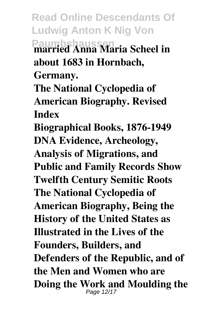**Read Online Descendants Of Ludwig Anton K Nig Von Paumbshaussen married Anna Maria Scheel in about 1683 in Hornbach,**

**Germany.**

**The National Cyclopedia of American Biography. Revised Index**

**Biographical Books, 1876-1949 DNA Evidence, Archeology, Analysis of Migrations, and Public and Family Records Show Twelfth Century Semitic Roots The National Cyclopedia of American Biography, Being the History of the United States as Illustrated in the Lives of the Founders, Builders, and Defenders of the Republic, and of the Men and Women who are Doing the Work and Moulding the** Page 12/17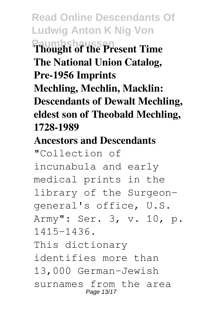**Read Online Descendants Of Ludwig Anton K Nig Von Paumbshaussen Thought of the Present Time The National Union Catalog, Pre-1956 Imprints Mechling, Mechlin, Macklin: Descendants of Dewalt Mechling, eldest son of Theobald Mechling, 1728-1989**

## **Ancestors and Descendants**

"Collection of incunabula and early medical prints in the library of the Surgeongeneral's office, U.S. Army": Ser. 3, v. 10, p. 1415-1436. This dictionary identifies more than 13,000 German-Jewish surnames from the area Page 13/17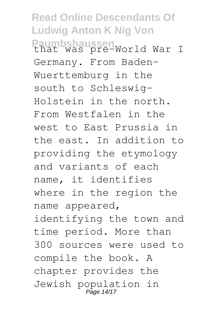**Read Online Descendants Of Ludwig Anton K Nig Von** Paumbshaussen<br>that was pre-World War I Germany. From Baden-Wuerttemburg in the south to Schleswig-Holstein in the north. From Westfalen in the west to East Prussia in the east. In addition to providing the etymology and variants of each name, it identifies where in the region the name appeared, identifying the town and time period. More than 300 sources were used to compile the book. A chapter provides the Jewish population in Page 14/17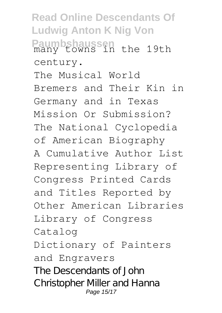**Read Online Descendants Of Ludwig Anton K Nig Von Paumbshaussen** many towns in the 19th century. The Musical World Bremers and Their Kin in Germany and in Texas Mission Or Submission? The National Cyclopedia of American Biography A Cumulative Author List Representing Library of Congress Printed Cards and Titles Reported by Other American Libraries Library of Congress Catalog Dictionary of Painters and Engravers The Descendants of John Christopher Miller and Hanna Page 15/17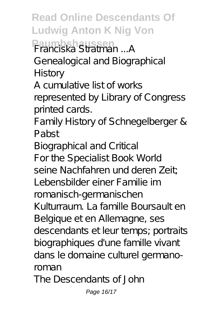**Read Online Descendants Of Ludwig Anton K Nig Von Paumbshaussen** Franciska Stratman ...A Genealogical and Biographical History

A cumulative list of works represented by Library of Congress printed cards.

Family History of Schnegelberger & Pabst

Biographical and Critical For the Specialist Book World seine Nachfahren und deren Zeit; Lebensbilder einer Familie im romanisch-germanischen Kulturraum. La famille Boursault en Belgique et en Allemagne, ses descendants et leur temps; portraits biographiques d'une famille vivant dans le domaine culturel germanoroman The Descendants of John

Page 16/17